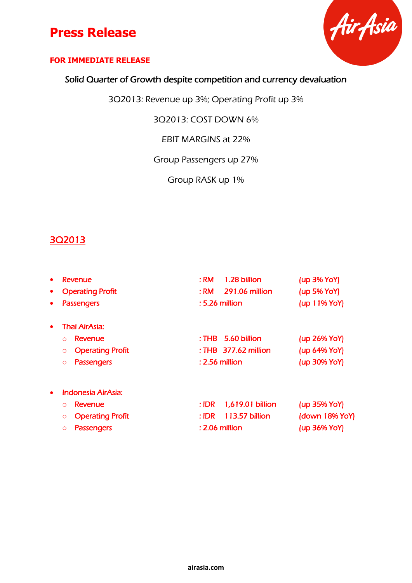

#### **FOR IMMEDIATE RELEASE**

### Solid Quarter of Growth despite competition and currency devaluation

3Q2013: Revenue up 3%; Operating Profit up 3%

3Q2013: COST DOWN 6%

EBIT MARGINS at 22%

Group Passengers up 27%

Group RASK up 1%

### 3Q2013

| $\bullet$ | Revenue                            | : <b>RM</b><br>1.28 billion | (up 3% YoY)     |
|-----------|------------------------------------|-----------------------------|-----------------|
| $\bullet$ | <b>Operating Profit</b>            | 291.06 million<br>: RM      | $\mu$ p 5% YoY) |
| $\bullet$ | <b>Passengers</b>                  | $: 5.26$ million            | (up 11% YoY)    |
| $\bullet$ | Thai AirAsia:                      |                             |                 |
|           | Revenue<br>$\Omega$                | 5.60 billion<br>: THB       | (up 26% YoY)    |
|           | <b>Operating Profit</b><br>$\circ$ | : THB 377.62 million        | (up 64% YoY)    |
|           | <b>Passengers</b><br>$\circ$       | $: 2.56$ million            | (up 30% YoY)    |
| $\bullet$ | <b>Indonesia AirAsia:</b>          |                             |                 |
|           | Revenue<br>$\Omega$                | 1,619.01 billion<br>: IDR   | (up 35% YoY)    |
|           | <b>Operating Profit</b><br>$\circ$ | 113.57 billion<br>: IDR     | (down 18% YoY)  |
|           | <b>Passengers</b><br>$\circ$       | $: 2.06$ million            | (up 36% YoY)    |
|           |                                    |                             |                 |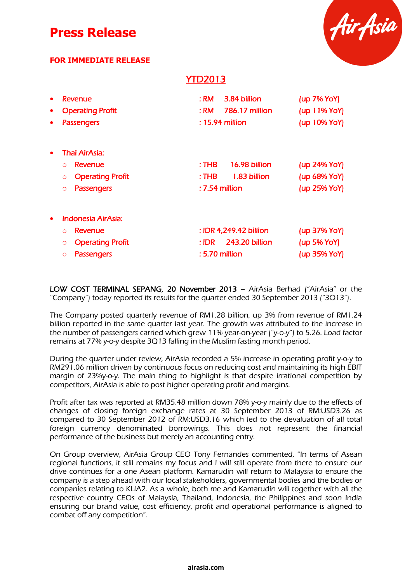**FOR IMMEDIATE RELEASE**



### YTD2013

| $\bullet$ | Revenue                            | 3.84 billion<br>: RM    | (up 7% YoY)  |
|-----------|------------------------------------|-------------------------|--------------|
| $\bullet$ | <b>Operating Profit</b>            | 786.17 million<br>: RM  | (up 11% YoY) |
| $\bullet$ | <b>Passengers</b>                  | $: 15.94$ million       | (up 10% YoY) |
| $\bullet$ | Thai AirAsia:                      |                         |              |
|           | Revenue<br>$\Omega$                | 16.98 billion<br>: THB  | (up 24% YoY) |
|           | <b>Operating Profit</b><br>$\circ$ | 1.83 billion<br>: THB   | (up 68% YoY) |
|           | <b>Passengers</b><br>$\circ$       | $: 7.54$ million        | (up 25% YoY) |
| $\bullet$ | <b>Indonesia AirAsia:</b>          |                         |              |
|           | Revenue<br>$\Omega$                | : IDR 4,249.42 billion  | (up 37% YoY) |
|           | <b>Operating Profit</b><br>$\circ$ | 243.20 billion<br>: IDR | (up 5% YoY)  |
|           | <b>Passengers</b><br>$\circ$       | $: 5.70$ million        | (up 35% YoY) |

LOW COST TERMINAL SEPANG, 20 November 2013 – AirAsia Berhad ("AirAsia" or the "Company") today reported its results for the quarter ended 30 September 2013 ("3Q13").

The Company posted quarterly revenue of RM1.28 billion, up 3% from revenue of RM1.24 billion reported in the same quarter last year. The growth was attributed to the increase in the number of passengers carried which grew 11% year-on-year ("y-o-y") to 5.26. Load factor remains at 77% y-o-y despite 3Q13 falling in the Muslim fasting month period.

During the quarter under review, AirAsia recorded a 5% increase in operating profit y-o-y to RM291.06 million driven by continuous focus on reducing cost and maintaining its high EBIT margin of 23%y-o-y. The main thing to highlight is that despite irrational competition by competitors, AirAsia is able to post higher operating profit and margins.

Profit after tax was reported at RM35.48 million down 78% y-o-y mainly due to the effects of changes of closing foreign exchange rates at 30 September 2013 of RM:USD3.26 as compared to 30 September 2012 of RM:USD3.16 which led to the devaluation of all total foreign currency denominated borrowings. This does not represent the financial performance of the business but merely an accounting entry.

On Group overview, AirAsia Group CEO Tony Fernandes commented, "In terms of Asean regional functions, it still remains my focus and I will still operate from there to ensure our drive continues for a one Asean platform. Kamarudin will return to Malaysia to ensure the company is a step ahead with our local stakeholders, governmental bodies and the bodies or companies relating to KLIA2. As a whole, both me and Kamarudin will together with all the respective country CEOs of Malaysia, Thailand, Indonesia, the Philippines and soon India ensuring our brand value, cost efficiency, profit and operational performance is aligned to combat off any competition".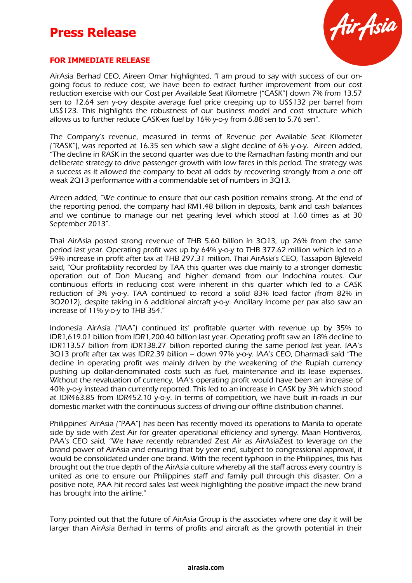

#### **FOR IMMEDIATE RELEASE**

AirAsia Berhad CEO, Aireen Omar highlighted, "I am proud to say with success of our ongoing focus to reduce cost, we have been to extract further improvement from our cost reduction exercise with our Cost per Available Seat Kilometre ("CASK") down 7% from 13.57 sen to 12.64 sen y-o-y despite average fuel price creeping up to US\$132 per barrel from US\$123. This highlights the robustness of our business model and cost structure which allows us to further reduce CASK-ex fuel by 16% y-o-y from 6.88 sen to 5.76 sen".

The Company's revenue, measured in terms of Revenue per Available Seat Kilometer ("RASK"), was reported at 16.35 sen which saw a slight decline of 6% y-o-y. Aireen added, "The decline in RASK in the second quarter was due to the Ramadhan fasting month and our deliberate strategy to drive passenger growth with low fares in this period. The strategy was a success as it allowed the company to beat all odds by recovering strongly from a one off weak 2Q13 performance with a commendable set of numbers in 3Q13.

Aireen added, "We continue to ensure that our cash position remains strong. At the end of the reporting period, the company had RM1.48 billion in deposits, bank and cash balances and we continue to manage our net gearing level which stood at 1.60 times as at 30 September 2013".

Thai AirAsia posted strong revenue of THB 5.60 billion in 3Q13, up 26% from the same period last year. Operating profit was up by 64% y-o-y to THB 377.62 million which led to a 59% increase in profit after tax at THB 297.31 million. Thai AirAsia's CEO, Tassapon Bijleveld said, "Our profitability recorded by TAA this quarter was due mainly to a stronger domestic operation out of Don Mueang and higher demand from our Indochina routes. Our continuous efforts in reducing cost were inherent in this quarter which led to a CASK reduction of 3% y-o-y. TAA continued to record a solid 83% load factor (from 82% in 3Q2012), despite taking in 6 additional aircraft y-o-y. Ancillary income per pax also saw an increase of 11% y-o-y to THB 354."

Indonesia AirAsia ("IAA") continued its' profitable quarter with revenue up by 35% to IDR1,619.01 billion from IDR1,200.40 billion last year. Operating profit saw an 18% decline to IDR113.57 billion from IDR138.27 billion reported during the same period last year. IAA's 3Q13 profit after tax was IDR2.39 billion – down 97% y-o-y. IAA's CEO, Dharmadi said "The decline in operating profit was mainly driven by the weakening of the Rupiah currency pushing up dollar-denominated costs such as fuel, maintenance and its lease expenses. Without the revaluation of currency, IAA's operating profit would have been an increase of 40% y-o-y instead than currently reported. This led to an increase in CASK by 3% which stood at IDR463.85 from IDR452.10 y-o-y. In terms of competition, we have built in-roads in our domestic market with the continuous success of driving our offline distribution channel.

Philippines' AirAsia ("PAA") has been has recently moved its operations to Manila to operate side by side with Zest Air for greater operational efficiency and synergy. Maan Hontiveros, PAA's CEO said, "We have recently rebranded Zest Air as AirAsiaZest to leverage on the brand power of AirAsia and ensuring that by year end, subject to congressional approval, it would be consolidated under one brand. With the recent typhoon in the Philippines, this has brought out the true depth of the AirAsia culture whereby all the staff across every country is united as one to ensure our Philippines staff and family pull through this disaster. On a positive note, PAA hit record sales last week highlighting the positive impact the new brand has brought into the airline."

Tony pointed out that the future of AirAsia Group is the associates where one day it will be larger than AirAsia Berhad in terms of profits and aircraft as the growth potential in their